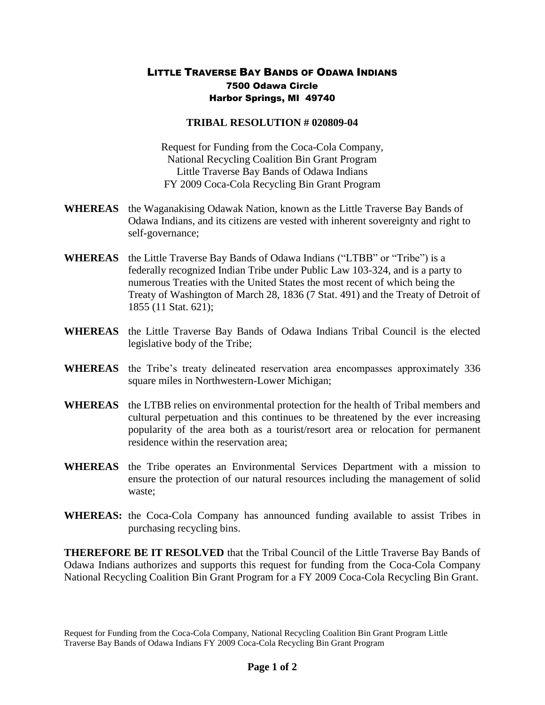## LITTLE TRAVERSE BAY BANDS OF ODAWA INDIANS 7500 Odawa Circle Harbor Springs, MI 49740

## **TRIBAL RESOLUTION # 020809-04**

Request for Funding from the Coca-Cola Company, National Recycling Coalition Bin Grant Program Little Traverse Bay Bands of Odawa Indians FY 2009 Coca-Cola Recycling Bin Grant Program

- **WHEREAS** the Waganakising Odawak Nation, known as the Little Traverse Bay Bands of Odawa Indians, and its citizens are vested with inherent sovereignty and right to self-governance;
- **WHEREAS** the Little Traverse Bay Bands of Odawa Indians ("LTBB" or "Tribe") is a federally recognized Indian Tribe under Public Law 103-324, and is a party to numerous Treaties with the United States the most recent of which being the Treaty of Washington of March 28, 1836 (7 Stat. 491) and the Treaty of Detroit of 1855 (11 Stat. 621);
- **WHEREAS** the Little Traverse Bay Bands of Odawa Indians Tribal Council is the elected legislative body of the Tribe;
- **WHEREAS** the Tribe's treaty delineated reservation area encompasses approximately 336 square miles in Northwestern-Lower Michigan;
- **WHEREAS** the LTBB relies on environmental protection for the health of Tribal members and cultural perpetuation and this continues to be threatened by the ever increasing popularity of the area both as a tourist/resort area or relocation for permanent residence within the reservation area;
- **WHEREAS** the Tribe operates an Environmental Services Department with a mission to ensure the protection of our natural resources including the management of solid waste;
- **WHEREAS:** the Coca-Cola Company has announced funding available to assist Tribes in purchasing recycling bins.

**THEREFORE BE IT RESOLVED** that the Tribal Council of the Little Traverse Bay Bands of Odawa Indians authorizes and supports this request for funding from the Coca-Cola Company National Recycling Coalition Bin Grant Program for a FY 2009 Coca-Cola Recycling Bin Grant.

Request for Funding from the Coca-Cola Company, National Recycling Coalition Bin Grant Program Little Traverse Bay Bands of Odawa Indians FY 2009 Coca-Cola Recycling Bin Grant Program